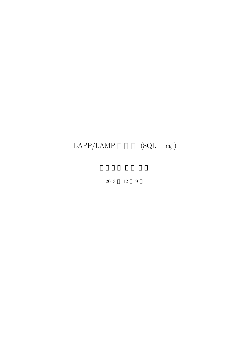# $\text{LAPP/LAMP} \qquad \quad \text{(SQL + cgi)}$

2013 12 9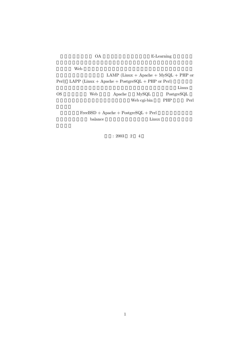|    | ОA                                                     |        |                                         | E-Learning |       |  |  |  |
|----|--------------------------------------------------------|--------|-----------------------------------------|------------|-------|--|--|--|
|    | Web                                                    |        |                                         |            |       |  |  |  |
|    |                                                        |        | LAMP (Linux + Apache + $MySQL$ + PHP or |            |       |  |  |  |
|    | Perl) LAPP (Linux + Apache + PostgreSQL + PHP or Perl) |        |                                         |            |       |  |  |  |
|    |                                                        |        |                                         |            | Linux |  |  |  |
| OS | Web                                                    | Apache | MvSQL                                   | PostgreSQL |       |  |  |  |
|    |                                                        |        | Web cgi-bin                             | <b>PHP</b> | Perl  |  |  |  |
|    |                                                        |        | $FreeBSD + Apache + PostgreSQL + Perl$  |            |       |  |  |  |

 $\begin{minipage}[c]{0.75\textwidth} \centering \begin{tabular}[c]{@{}l@{}} \textbf{balance} & \textbf{Linux} \end{tabular} \end{tabular} \end{minipage}$ 

起草: 2003 2 4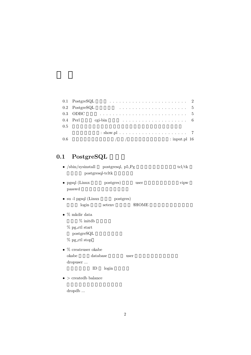|         | $0.1$ PostgreSQL                                               |                                                                                                                                                                                                                                                                                                                     |  |  |  |  |  |  |  |  |  |  |                   |
|---------|----------------------------------------------------------------|---------------------------------------------------------------------------------------------------------------------------------------------------------------------------------------------------------------------------------------------------------------------------------------------------------------------|--|--|--|--|--|--|--|--|--|--|-------------------|
|         | $0.2$ PostgreSQL                                               |                                                                                                                                                                                                                                                                                                                     |  |  |  |  |  |  |  |  |  |  |                   |
|         | $0.3$ ODBC                                                     |                                                                                                                                                                                                                                                                                                                     |  |  |  |  |  |  |  |  |  |  |                   |
|         | 0.4 Perl cgi-bin $\ldots \ldots \ldots \ldots \ldots \ldots$ 6 |                                                                                                                                                                                                                                                                                                                     |  |  |  |  |  |  |  |  |  |  |                   |
| $0.5\,$ |                                                                |                                                                                                                                                                                                                                                                                                                     |  |  |  |  |  |  |  |  |  |  |                   |
|         |                                                                |                                                                                                                                                                                                                                                                                                                     |  |  |  |  |  |  |  |  |  |  |                   |
| $0.6\,$ |                                                                | $\frac{1}{2}$ $\frac{1}{2}$ $\frac{1}{2}$ $\frac{1}{2}$ $\frac{1}{2}$ $\frac{1}{2}$ $\frac{1}{2}$ $\frac{1}{2}$ $\frac{1}{2}$ $\frac{1}{2}$ $\frac{1}{2}$ $\frac{1}{2}$ $\frac{1}{2}$ $\frac{1}{2}$ $\frac{1}{2}$ $\frac{1}{2}$ $\frac{1}{2}$ $\frac{1}{2}$ $\frac{1}{2}$ $\frac{1}{2}$ $\frac{1}{2}$ $\frac{1}{2}$ |  |  |  |  |  |  |  |  |  |  | $:$ input.pl $16$ |

# 0.1 PostgreSQL

|  | • $/sbin/sysinstall$ postgresql, $p5_Pg$ | $\text{tcl}/\text{tk}$ |
|--|------------------------------------------|------------------------|
|  | postgresql-tcltk                         |                        |

- pgsql (Linux postgres) user vipw passwd
- su -l pgsql (Linux postgres) login setenv  $\rm\$HOME$
- *•* % mkdir data  $%$  initdb
	- $\%$ pg\_ctl start
	- $postgreSQL$
	- $\%$  pg.ctl stop
- *•* % createuser okabe  $\begin{array}{lll} {\rm database} & \qquad & {\rm user} \end{array}$ dropuser ... ID login
- *• >* createdb balance

 $\operatorname{dropdb}$   $\ldots$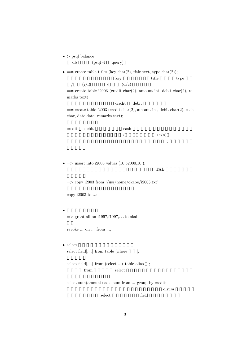*• >* psql balance

 $db \qquad (psql -l \quad query)$ 

•  $=\#$  create table titles (key char(2), title text, type char(2));

key title type

/  $(r/i)$  /  $(d/c)$  $=\text{#}$  create table i2003 (credit char(2), amount int, debit char(2), remarks text);

credit debit

 $=\text{\#}$  create table f2003 (credit char(2), amount int, debit char(2), cash char, date date, remarks text);

| credit debit | cash |       |  |
|--------------|------|-------|--|
|              |      | (c/n) |  |
|              |      |       |  |

*•* =*>* insert into i2003 values (10,52000,10,);  $TAB$ 

=*>* copy i2003 from '/usr/home/okabe/i2003.txt'

copy i2003 to ...;

• *•*  $\mathbf{r}$ =*>* grant all on i1997,f1997,. . . to okabe;

revoke ... on ... from ...;

- select select field $[...]$  from table [where  $]$ ;
	- select field[,...] from (select ...) table\_alias ; from select  $\sum_{n=1}^{\infty}$

select sum(amount) as c\_sum from ... group by credit; c\_sum select field select to the select of the select selection of the selection of the selection of the selection of the selection of the selection of the selection of the selection of the selection of the selection of the sele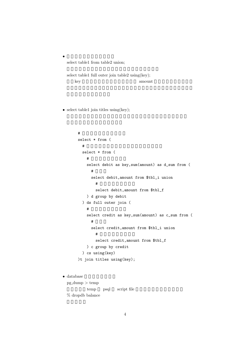select table1 from table2 union;

*•* テーブルの結合を覚える。

select table1 full outer join table2 using(key); key amount amount and  $\lambda$ 

• select table1 join titles using(key);

```
\#select * from (
       \#select * from (
        \#select debit as key,sum(amount) as d_sum from (
          # 期首と
          select debit,amount from $tbl_i union
            \#select debit,amount from $tbl_f
        ) d group by debit
      ) ds full outer join (
        \#select credit as key,sum(amount) as c_sum from (
          #select credit,amount from $tbl_i union
            \#select credit,amount from $tbl_f
        ) c group by credit
      ) cs using(key)
     )t join titles using(key);
\bullet database
```
pg dump *>* temp temp psql script file % dropdb balance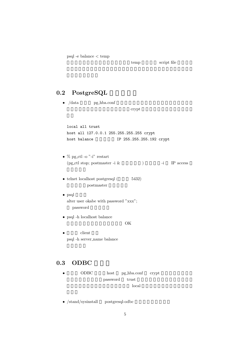psql -e balance *<* temp

```
temp script file
```
## 0.2 PostgreSQL

- /data pg\_hba.conf  $\mathrm{crypt}$ local all trust host all 127.0.0.1 255.255.255.255 crypt host balance TP 255.255.255.192 crypt •  $\%$  pg\_ctl -o "-i" restart (pg\_ctl stop; postmaster -i  $\&$  ) -i IP access • telnet localhost postgresql ( $5432$ ) postmaster • psql alter user okabe with password "xxx"; password *•* psql -h localhost balance OK *client*
- psql -h server name balance

#### 0.3 ODBC

- ODBC host pg\_hba.conf crypt password trust local local  $\alpha$
- /stand/sysinstall postgresql-odbc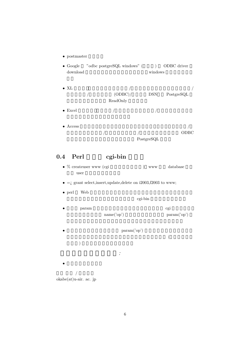- postmaster
- $\bullet$  Google  $\quad$  "odbc postgreSQL windows" ( $\quad\quad$  ) ODBC driver download  $\quad$  windows download
- XL  $\qquad \qquad \qquad$ /  $(ODBC)/$  DSN PostgreSQL ReadOnly
- Excel  $\qquad$  /  $\qquad$
- Access  $\sqrt{ }$  $\sqrt{2\pi}$ PostgreSQL

# 0.4 Perl cgi-bin

- % createuser www (cgi  $\longrightarrow$  ) www database user
- $\bullet$  =*i* grant select, insert, update, delete on i2003, f2003 to www;
- perl Web  $\bullet$

cgi-bin

- **param example param example of cgi**  $\alpha$  $name('op')$  param('op')
- *•* param('op')  $\mathcal{L}_{\mathcal{A}}$  $)$ どのページへ行きたい*: •* 岡部のホームページ

 $\frac{1}{2}$ okabe(at)u-air. ac. jp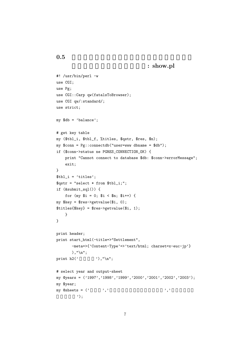```
0.5
```

```
: show.pl
```

```
#! /usr/bin/perl -w
use CGI;
use Pg;
use CGI::Carp qw(fatalsToBrowser);
use CGI qw/:standard/;
use strict;
my $db = 'balance';
# get key table
my ($tbl_i, $tbl_f, %titles, $qstr, $res, $n);
my $conn = Pg::connectdb("user=www dbname = $db");
if ($conn->status ne PGRES_CONNECTION_OK) {
    print "Cannot connect to database $db: $conn->errorMessage";
    exit;
}
$tbl_i = 'titles';
\text{\$qstr = "select * from $thl_i; ";}if (&submit_sql()) {
    for (my i = 0; i < \nn; i + 1) {
my $key = $res->getvalue($i, 0);
$titles{$key} = $res->getvalue($i, 1);
    }
}
print header;
print start_html(-title=>"Settlement",
       -meta=>{'Content-Type'=>'text/html; charset=x-euc-jp'}
       ),"\n\overline{\phantom{a}}";
print h2(' \t''), "\ln";
# select year and output-sheet
my @years = ('1997','1998','1999','2000','2001','2002','2003');
my $year;
my @sheets = (' ' ', ' ' ', ' ' ', ' ' , '損益計算書');
```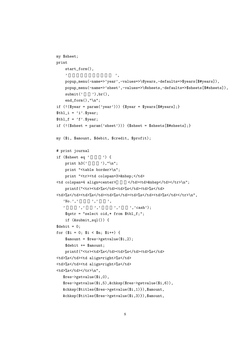```
my $sheet;
print
    start_form(),
    \qquad \qquad \qquadpopup_menu(-name=>'year',-values=>\@years,-defaults=>$years[$#years]),
    popup_menu(-name=>'sheet',-values=>\@sheets,-defaults=>$sheets[$#sheets]),
    submit(' '), br(),end_{form}(), "\n";if (!($year = param('year'))) {$year = $years[$#years];}
$tbl_i = 'i'.$year;$tbl_f = 'f'.$year;if (!($sheet = param('sheet'))) $sheet = $sheet[$$];
my ($i, $amount, $debit, $credit, $profit);
# print journal
if ($sheet eq' ) {
    print h3' '),"\n";
    print "<table border>\n";
    print "<tr><td colspan=3>&nbsp;</td>
<td colspan=4 align=center>
</td><td>>>>> </td></td></td></tr>\n";
    printf("<tr><td>%s</td><td>%s</td><td>%s</td>
<td>%s</td><td>%s</td><td>%s</td><td>%s</td><td>%s</td></tr><h<br/>\,'No.',' ',' ',
   \qquad \qquad ,\qquad \qquad ,\qquad \qquad ,\qquad \qquad ,\qquad \qquad ,\qquad \qquad ,\, \text{'}\, \text{cash'})\,;$qstr = "select oid,* from $tbl_f;";
    if (&submit_sql()) {
$debit = 0;for ($i = 0; $i < $n; $i++) {
    \text{\$amount} = \text{\$res-|getvalue}(\$i,2);$debit += $amount;
    printf("<tr><td>%s</td><td>%s</td><td>%s</td>
<td>%s</td><td align=right>%s</td>
<td>%s</td><td align=right>%s</td>
<td>%s</td></tr>\n",
   $res->getvalue($i,0),
   $res->getvalue($i,5),&chksp($res->getvalue($i,6)),
   &chksp($titles{$res->getvalue($i,1)}),$amount,
   &chksp($titles{$res->getvalue($i,3)}),$amount,
```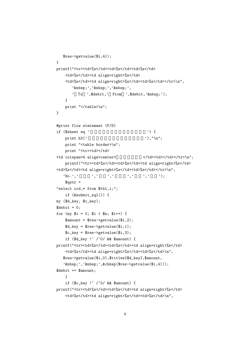```
$res->getvalue($i,4));
}
printf("<tr><td>%s</td><td>%s</td><td>%s</td>
     <td>%s</td><td align=right>%s</td>
     <td>%s</td><td align=right>%s</td><td>%s</td></tr>\n",
         ' ',' ',' ',
         ' To ',$debit,' From ',$debit,' ');
     }
    print "</table>\n";
}
#print flow statement (F/S)
if ($sheet eq ' ) {
     print h3(' \qquad \qquad'),"\n";
     print "<table border>\n";
     print "<tr><td></td>
<td colspan=4 align=center><br>\langle \frac{\dagger}{\dagger} \frac{\dagger}{\dagger} \frac{\dagger}{\dagger} \frac{\dagger}{\dagger} \frac{\dagger}{\dagger} \frac{\dagger}{\dagger} \frac{\dagger}{\dagger} \frac{\dagger}{\dagger} \frac{\dagger}{\dagger} \frac{\dagger}{\dagger} \frac{\dagger}{\dagger} \frac{\dagger}{\dagger} \frac{\dagger}{\dagger} \frac{\dagger}{\dagger} \frac{\dagger}{\dagger} \frac{\dagger}{\dagger} \frac{\dagger}{\dagger} \frac{\dagger}{\dagger} \frac{\dagger}{\dagger} \printf("<tr><td>%s</td><td>%s</td><td align=right>%s</td>
<td>%s</td><td align=right>%s</td><td>%s</td></tr>\n",
    'N<sub>0</sub>.',' ',',',',',',',',',';
     $qstr ="select oid,* from $tbl_i;";
     if (&submit_sql()) {
my ($d_key, $c_key);
$debit = 0;for (my i = 0; i < \text{sn}; i + 1) {
     \text{\$amount} = \text{\$res-|getvalue}(\$i,2);d_{key} =res->getvalue((i, 1);
     $c_key = $res->getvalue($i,3);
     if ($d_key !~ /^0/ && $amount) {
printf("<tr><td>%s</td><td>%s</td><td align=right>%s</td>
     <td>%s</td><td align=right>%s</td><td>%s</td>\n",
   $res->getvalue($i,0),$titles{$d_key},$amount,
    ' ',' ',&chksp($res->getvalue($i,4)));
$debit += $amount;
     }
     if ($c_key !~ /^0/ && $amount) {
printf("<tr><td>%s</td><td>%s</td><td align=right>%s</td>
     <td>%s</td><td align=right>%s</td><td>%s</td>\n",
```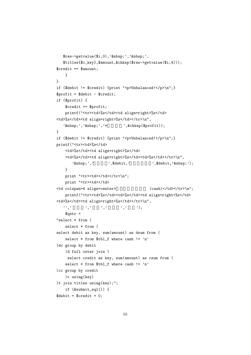```
$res->getvalue($i,0),' knbsp;',' knbsp;',
  $titles{$c_key},$amount,&chksp($res->getvalue($i,4)));
$credit += $amount;
   }
}
if ($debit != $credit) {print "<p>Unbalanced!</p>\n";}
$profit = $debit - $credit;if ($profit) {
    $credit += $profit;
   printf("<tr><td>%s</td><td align=right>%s</td>
<td>%s</td><td align=right>%s</td></tr>\n",
   ' knbsp;',' knbsp;','* * (kchksp($profit));
}
if ($debit != $credit) {print "<p>Unbalanced!</p>\n";}
printf("<tr><td>%s</td>
    <td>%s</td><td align=right>%s</td>
   <td>%s</td><td align=right>%s</td><td>%s</td></tr>\n",
       ' ',' ',$debit,' ',$debit,' anbsp;');
   }
   print "<tr><td></td></tr>\n";
   print "<tr><td></td>
<td colspan=4 align=center> (cash)</td></tr>\n";
   printf("<tr><td>%s</td><td>%s</td><td align=right>%s</td>
<td>%s</td><td align=right>%s</td></tr>\n",
  '',' 左借方',' 金額',' 右貸方',' 金額');
   $qstr =
"select * from (
   select * from (
select debit as key, sum(amount) as dsum from (
    select * from $tbl_f where cash != 'n'
)dc group by debit
   )d full outer join (
    select credit as key, sum(amount) as csum from (
   select * from $tbl_f where cash != 'n'
)cc group by credit
    )c using(key)
)t join titles using(key);";
   if (&submit_sql()) {
$debit = $credit = 0;
```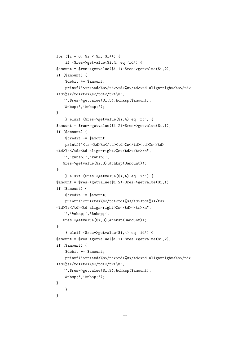```
for ($i = 0; $i < $n; $i++) {
    if ($res->getvalue($i,4) eq 'rd') {
\text{R}amount = \text{Fes-}etvalue($i,1)-\text{Fres-}etvalue($i,2);
if ($amount) {
    $debit += $amount;
    printf("<tr><td>%s</td><td>%s</td><td align=right>%s</td>
<td>%s</td><td>%s</td></tr>\n",
   '',$res->getvalue($i,3),&chksp($amount),
   ' ',' ');
}
    } elsif ($res->getvalue($i,4) eq 'rc') {
\text{R}amount = \text{Fes}->getvalue(i, 2)-\text{Fres}->getvalue(i, 1);
if ($amount) {
    $credit += $amount;
    printf("<tr><td>%s</td><td>%s</td><td>%s</td>
<td>%s</td><td align=right>%s</td></tr>\n",
   ''',' knbsp;','knbsp;',
   $res->getvalue($i,3),&chksp($amount));
}
    } elsif ($res->getvalue($i,4) eq 'ic') {
$amount = $res->getvalue($i,2)-$res->getvalue($i,1);
if ($amount) {
    $credit += $amount;
    printf("<tr><td>%s</td><td>%s</td><td>%s</td>
<td>%s</td><td align=right>%s</td></tr>\n",
   ''',' knbsp;',' knbsp;',
   $res->getvalue($i,3),&chksp($amount));
}
    } elsif ($res->getvalue($i,4) eq 'id') {
$amount = $res->getvalue($i,1)-$res->getvalue($i,2);
if ($amount) {
    $debit += $amount;
    printf("<tr><td>%s</td><td>%s</td><td align=right>%s</td>
<td>%s</td><td>%s</td></tr>\n",
   '',$res->getvalue($i,3),&chksp($amount),
   ' ',' ');
}
    }
}
```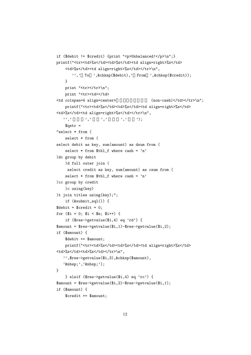```
if ($debit != $credit) {print "<p>Unbalanced!</p>\n";}
printf("<tr><td>%s</td><td>%s</td><td align=right>%s</td>
    <td>%s</td><td align=right>%s</td></tr>\n",
       '',' To ',&chksp($debit),' From ',&chksp($credit));
   }
   print "<tr></tr>\n";
   print "<tr><td></td>
\lt td colspan=4 align=center>
(non-cash)\lt td>\lt td\lt t\lt tr\gt\n";
   printf("<tr><td>%s</td><td>%s</td><td align=right>%s</td>
<td>%s</td><td align=right>%s</td></tr>\n",
   '',' 左借方',' 金額',' 右貸方',' 金額');
    $astr ="select * from (
    select * from (
select debit as key, sum(amount) as dsum from (
    select * from tbl_f where cash = 'n'
)dc group by debit
   )d full outer join (
     select credit as key, sum(amount) as csum from (
    select * from tbl_f where cash = 'n'
)cc group by credit
    )c using(key)
)t join titles using(key);";
    if (&submit_sql()) {
$debit = $credit = 0;for ($i = 0; $i < $n; $i++) {
    if ($res->getvalue($i,4) eq 'rd') {
$amount = $res->getvalue($i,1)-$res->getvalue($i,2);
if ($amount) {
    $debit += $amount;
   printf("<tr><td>%s</td><td>%s</td><td align=right>%s</td>
<td>%s</td><td>%s</td></tr>\n",
   '',$res->getvalue($i,3),&chksp($amount),
   ' ',' ');
}
    } elsif ($res->getvalue($i,4) eq 'rc') {
$amount = $res->getvalue($i,2)-$res->getvalue($i,1);
if ($amount) {
    $credit += $amount;
```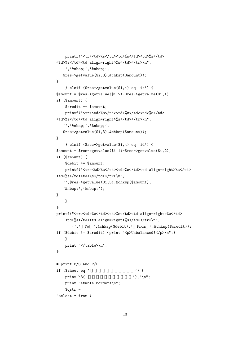```
printf("<tr><td>%s</td><td>%s</td><td>%s</td>
<td>%s</td><td align=right>%s</td></tr>\n",
   '',' ',' ',
  $res->getvalue($i,3),&chksp($amount));
}
    } elsif ($res->getvalue($i,4) eq 'ic') {
$amount = $res->getvalue($i,2)-$res->getvalue($i,1);
if ($amount) {
    $credit += $amount;
   printf("<tr><td>%s</td><td>%s</td><td>%s</td>
<td>%s</td><td align=right>%s</td></tr>\n",
   '','  ','  ',
  $res->getvalue($i,3),&chksp($amount));
}
    } elsif ($res->getvalue($i,4) eq 'id') {
\text{R}amount = \text{Fes-}etvalue($i,1)-\text{Fres-}etvalue($i,2);
if ($amount) {
    $debit += $amount;
   printf("<tr><td>%s</td><td>%s</td><td align=right>%s</td>
<td>%s</td><td>%s</td></tr>\n",
   '',$res->getvalue($i,3),&chksp($amount),
  ' ',' ');
}
   }
}
printf("<tr><td>%s</td><td>%s</td><td align=right>%s</td>
    <td>%s</td><td align=right>%s</td></tr>\n",
      '',' To ',&chksp($debit),' From ',&chksp($credit));
if ($debit != $credit) {print "<p>Unbalanced!</p>\n";}
   }
   print "</table>\n";
}
# print B/S and P/L
if ($sheet eq' ) {
   print h3(' \qquad'),"\n";
   print "<table border>\n";
   $qstr ="select * from (
```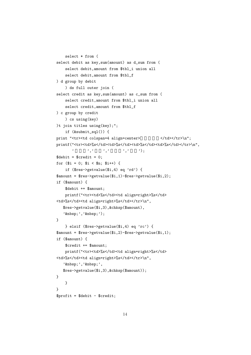```
select * from (
select debit as key,sum(amount) as d_sum from (
     select debit,amount from $tbl_i union all
     select debit,amount from $tbl_f
) d group by debit
     ) ds full outer join (
select credit as key,sum(amount) as c_sum from (
     select credit,amount from $tbl_i union all
     select credit,amount from $tbl_f
) c group by credit
     ) cs using(key)
)t join titles using(key);";
     if (&submit_sql()) {
print "<tr><td colspan=4 align=center> </td></tr>\n";
printf("<tr><td>%s</td><td>%s</td><td>%s</td></td></tr>></tr><h",
                 \qquad \qquad, \qquad \qquad, \qquad \qquad, \qquad \qquad, \qquad \qquad, \qquad \qquad\text{6} \text{6} \text{6} \text{7} \text{7} \text{7} \text{7} \text{7} \text{7} \text{8} \text{7} \text{7} \text{7} \text{8} \text{7} \text{9} \text{10} \text{11} \text{12} \text{13} \text{14} \text{15} \text{16} \text{17} \text{18} \text{19} \textfor ($i = 0; $i < $n; $i++) {
     if ($res->getvalue($i,4) eq 'rd') {
$amount = $res->getvalue($i,1)-$res->getvalue($i,2);
if ($amount) {
     $debit += $amount;
    printf("<tr><td>%s</td><td align=right>%s</td>
<td>%s</td><td align=right>%s</td></tr>\n",
   $res->getvalue($i,3),&chksp($amount),
    ' ',' ');
}
     } elsif ($res->getvalue($i,4) eq 'rc') {
$amount = $res->getvalue($i,2)-$res->getvalue($i,1);
if ($amount) {
     $credit += $amount;
     printf("<tr><td>%s</td><td align=right>%s</td>
<td>%s</td><td align=right>%s</td></tr>\n",
   '  ','  ',
   $res->getvalue($i,3),&chksp($amount));
}
    }
}
$profit = $debit - $credit;
```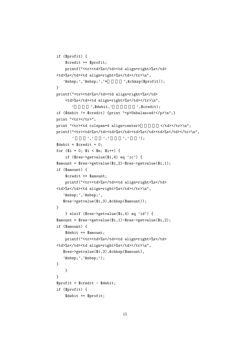```
if ($profit) {
    $credit += $profit;
    printf("<tr><td>%s</td><td align=right>%s</td>
<td>%s</td><td align=right>%s</td></tr>\n",
   '\text{khisp};\text{'},\text{'khisp};\text{'},\text{'*} , \text{kchksp}(\text{foroffit});
}
printf("<tr><td>%s</td><td align=right>%s</td>
    <td>%s</td><td align=right>%s</td></tr>\n",
       \qquad \qquad, $debit,'<br>\qquad \qquad, $credit);
if ($debit != $credit) {print "<p>Unbalanced!</p>\n";}
print "<tr></tr>";
print "<tr><td colspan=4 align=center>
</td></tr></h";
printf("<tr><td>%s</td><td>%s</td><td>%s</td></td></tr>></td></tm></td>%n",
       ' 左借方',' 金額',' 右貸方',' 金額');
\text{\$debit = $credit = 0};for ($i = 0; $i < $n; $i++) {
    if ($res->getvalue($i,4) eq 'ic') {
\text{R}amount = \text{Fes-}etvalue($i,2)-\text{Fres-}etvalue($i,1);
if ($amount) {
    $credit += $amount;
    printf("<tr><td>%s</td><td align=right>%s</td>
<td>%s</td><td align=right>%s</td></tr>\n",
   '  ','  ',
   $res->getvalue($i,3),&chksp($amount));
}
    } elsif ($res->getvalue($i,4) eq 'id') {
$amount = $res->getvalue($i,1)-$res->getvalue($i,2);
if ($amount) {
    $debit += $amount;
    printf("<tr><td>%s</td><td align=right>%s</td>
<td>%s</td><td align=right>%s</td></tr>\n",
   $res->getvalue($i,3),&chksp($amount),
   '  ','  ');
}
    }
}
$profit = $credit - $debit;
if ($profit) {
    $debit += $profit;
```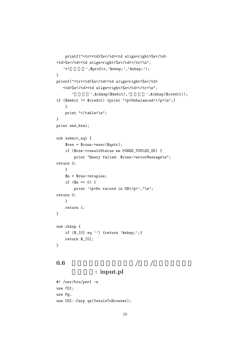```
printf("<tr><td>%s</td><td align=right>%s</td>
<td>%s</td><td align=right>%s</td></tr>\n",
   '*! ,$profit,' ',' ');
}
printf("<tr><td>%s</td><td align=right>%s</td>
  <td>%s</td><td align=right>%s</td></tr>\n",
       ',&chksp($debit),'',&chksp($credit));
if ($debit != $credit) {print "<p>Unbalanced!</p>\n";}
   }
   print "</table>\n";
}
print end_html;
sub submit_sql {
   $res = $conn->exec($qstr);
   if ($res->resultStatus ne PGRES_TUPLES_OK) {
       print "Query failed: $conn->errorMessage\n";
return 0;
   }
   $n = $res->ntuples;
   if ($n == 0) {}print '<p>No record in DB</p>', "\n";
return 0;
   }
   return 1;
}
sub chksp {
   if (\frac{1}{2}[0] eq '') {return ' knbsp;'; }
   return $_[0];
}
```

```
0.6 \qquad / /
```
### : input.pl

```
#! /usr/bin/perl -w
use CGI;
use Pg;
use CGI::Carp qw(fatalsToBrowser);
```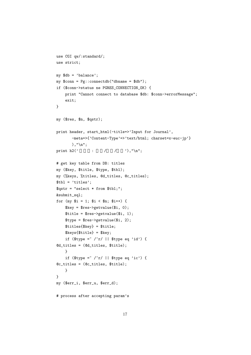```
use CGI qw/:standard/;
use strict;
my $db = 'balance';
my %conn = Py::connectdb("dbname = $db");
if ($conn->status ne PGRES_CONNECTION_OK) {
    print "Cannot connect to database $db: $conn->errorMessage";
    exit;
}
my ($res, $n, $qstr);
print header, start_html(-title=>'Input for Journal',
       -meta=>{'Content-Type'=>'text/html; charset=x-euc-jp'}
       ),"\n\overline{\phantom{a}}";
print h2(' : / / '),"\n";
# get key table from DB: titles
my ($key, $title, $type, $tbl);
my (%keys, %titles, @d_titles, @c_titles);
$tbl = 'titles';
$qstr = "select * from $tbl;";
&submit_sql;
for (my $i = 1; $i < $n; $i++) {
    $key = $res->getvalue($i, 0);
    $title = $res->getvalue($i, 1);
    $type = $res - $getvalue ($i, 2);$titles{$key} = $title;
    $keys{$title} = $key;
    if ($type = \sqrt{r}/ || $type eq 'id') {
@d_titles = (@d_titles, $title);
    }
    if ($type = \sqrt{r}/ || $type eq 'ic') {
@c_titles = (@c_titles, $title);
    }
}
my ($err_i, $err_u, $err_d);
# process after accepting param's
```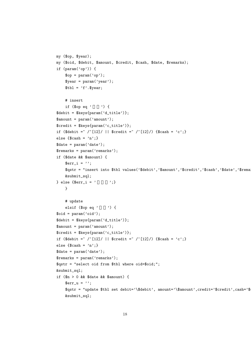```
my ($op, $year);
my ($oid, $debit, $amount, $credit, $cash, $date, $remarks);
if (param('op')) {
    \text{Top} = \text{param('op');}\gamma = \gamma \cdot (\gamma + \gamma);
    $tb1 = 'f'.$year;# insert
    if (\text{Top eq} \rightarrow \text{O}) {
$debit = $keys{param('d_title')};
\text{\$amount = param('amount');}$credit = $keys{param('c_title')};
if ($debit = \degree /^[12]/ || $credit = \degree /^[12]/) {$cash = 'c';}
else \{\text{Scash} = 'n';
\text{6}date = param('date');$remarks = param('remarks');
if ($date && $amount) {
    \text{Serr}_i = \cdots;$qstr = "insert into $tbl values('$debit','$amount','$credit','$cash','$date','$rema
    &submit_sql;
} else {$err_i = ' ' ';}
    }
    # update
    elsif (\text{Top eq} ' '') \{$oid = param('oid');$debit = $keys{param('d_title')};
$amount = param('amount');
$credit = $keys{param('c_title')};
if ($debit = ^{\sim} /^[12]/ || $credit = ^{\sim} /^[12]/) {$cash = 'c';}
else \{\text{Scash} = 'n';
\text{date} = \text{param'}(\text{date'});$remarks = param('remarks');
$qstr = "select oid from $tbl where oid=$oid;";
&submit_sql;
if ($n > 0 && $date && $amount) {
    \text{Serr}_{u} = \cdots;
    \sqrt{\frac{d}{d}} = \sqrt{\frac{d}{d}} set debit='\sqrt{\frac{d}{d}}, amount='\sqrt{\frac{d}{d}} (redit='\frac{d}{d}credit', cash='\frac{d}{d}&submit_sql;
```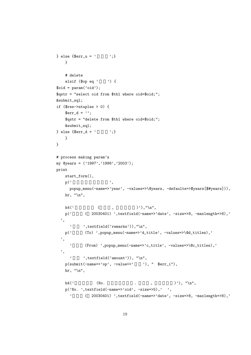```
} else {$err_u = ' ' ';}
   }
   # delete
   elsif ($op eq ' ' ) {
$oid = param('oid');
$qstr = "select oid from $tbl where oid=$oid;";
&submit_sql;
if ($res->ntuples > 0) {
   \text{Serr}_d = \text{''};$qstr = "delete from $tbl where oid=$oid;";
   &submit_sql;
} else {$err_d = ' ' ';}
   }
}
# process making param's
my @years = ('1997','1998','2003');
print
   start_form(),
   p(' \t''),
     popup_menu(-name=>'year', -values=>\@years, -defaults=>$years[$#years])),
   hr, "\n",
   h4(' (, )'),"\n",
   p(' (20030401) ',textfield(-name=>'date', -size=>8, -maxlength=>8),'
 ',
     ', textfield('remarks')), "\n",
   p('
(To)',popup_menu(-name=>'d_title', -values=>\@d_titles),'
  ',
     '
(From) ',popup_menu(-name=>'c_title', -values=>\@c_titles),'
 ',
     ', textfield('amount')), "\n",
   p(\text{submit}(-\text{name}>>'op', -\text{value}>>' \qquad '), " \text{;} \text{err}_i"),hr, "\n\n\",
   h4(' (No. \qquad \qquad (No. \qquad \qquad, )'), "\n",
   p('No. ',textfield(-name=>'oid', -size=>5),' ',
     ' ( 20030401) ',textfield(-name=>'date', -size=>8, -maxlength=>8),'
```